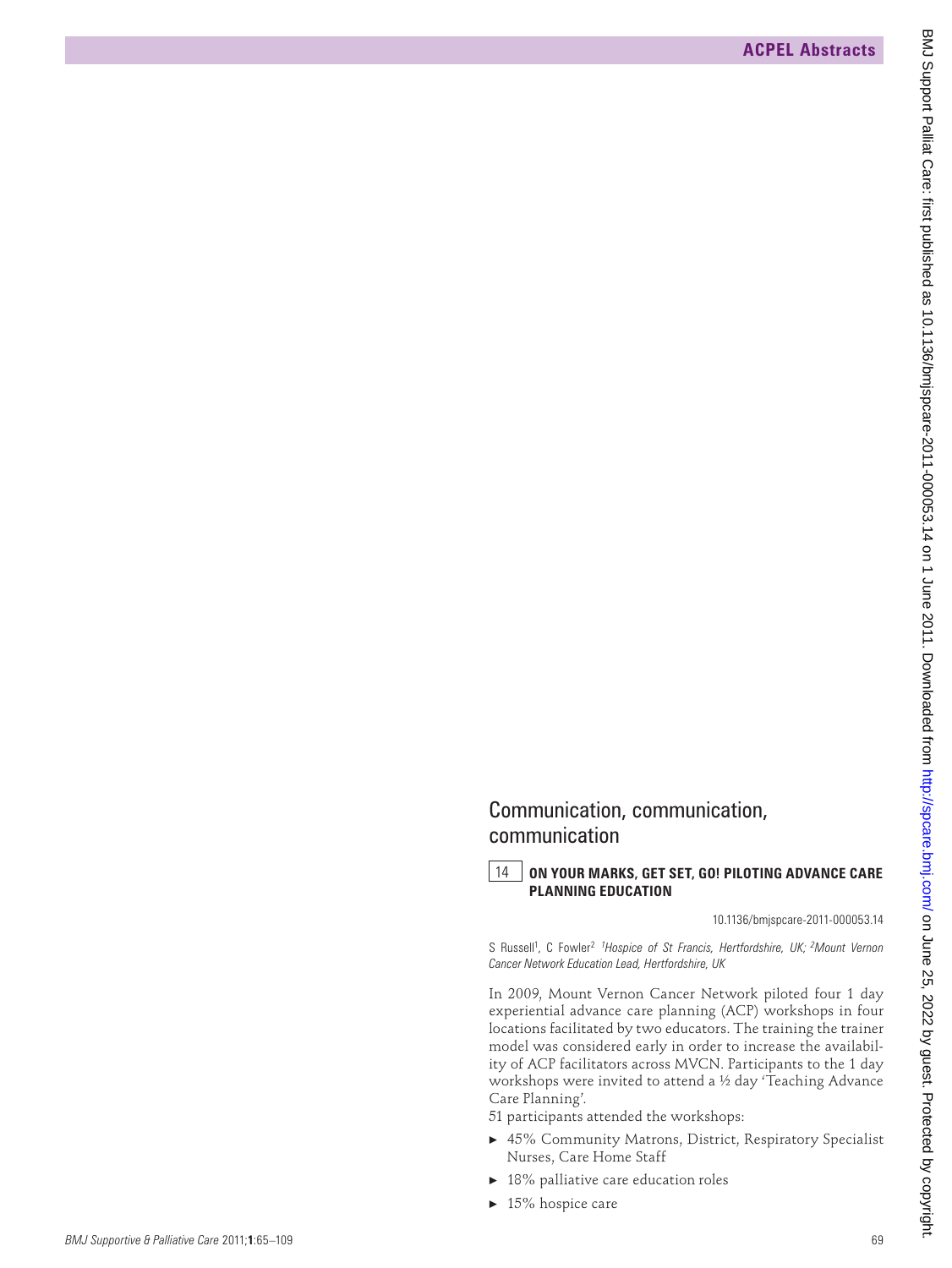## Communication, communication, communication

## 14 **ON YOUR MARKS, GET SET, GO! PILOTING ADVANCE CARE PLANNING EDUCATION**

10.1136/bmjspcare-2011-000053.14

S Russell<sup>1</sup>, C Fowler<sup>2</sup> <sup>1</sup> Hospice of St Francis, Hertfordshire, UK; <sup>2</sup> Mount Vernon *Cancer Network Education Lead, Hertfordshire, UK*

In 2009, Mount Vernon Cancer Network piloted four 1 day experiential advance care planning (ACP) workshops in four locations facilitated by two educators. The training the trainer model was considered early in order to increase the availability of ACP facilitators across MVCN. Participants to the 1 day workshops were invited to attend a ½ day 'Teaching Advance Care Planning'. **EXERCIAL Abstracts.**<br> **EXECUTIVE ABSTRACTS**<br> **COMMUNIMEDIDE CONTINUESTION**, CONTINUESTION, CONTINUESTION, CONTINUESTION, CONTINUESTION, CONTINUESTION, CONTINUESTION, CONTINUESTION, CONTINUESTION, CONTINUESTION, CONTINUES

51 participants attended the workshops:

- ▶ 45% Community Matrons, District, Respiratory Specialist Nurses, Care Home Staff
- 18% palliative care education roles
- $\blacktriangleright$  15% hospice care